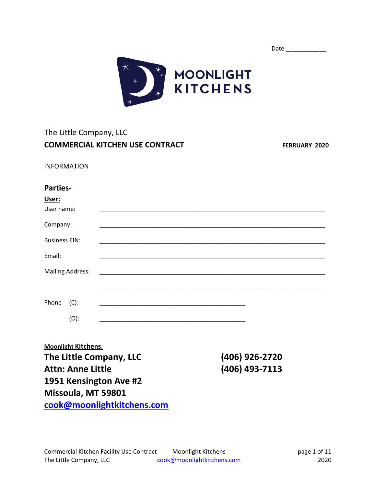| Date |
|------|
|      |



# The Little Company, LLC **COMMERCIAL KITCHEN USE CONTRACT FEBRUARY 2020**

INFORMATION

#### **Parties-**

| User:<br>User name:  |                         |  |  |
|----------------------|-------------------------|--|--|
| Company:             |                         |  |  |
| <b>Business EIN:</b> |                         |  |  |
| Email:               |                         |  |  |
|                      | <b>Mailing Address:</b> |  |  |
|                      |                         |  |  |
| Phone                | $(C)$ :                 |  |  |
|                      | $(O)$ :                 |  |  |

**Moonlight Kitchens: The Little Company, LLC (406) 926-2720 Attn: Anne Little (406) 493-7113 1951 Kensington Ave #2 Missoula, MT 59801 [cook@moonlightkitchens.com](mailto:cook@moonlightkitchens.com)**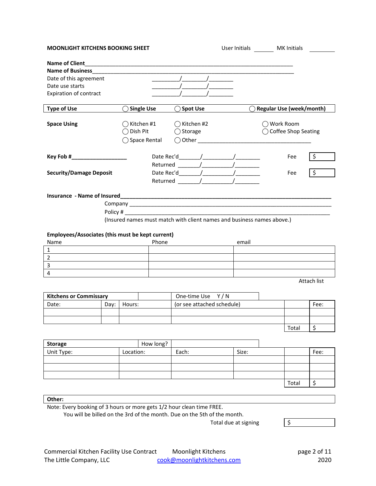| <b>MOONLIGHT KITCHENS BOOKING SHEET</b>                                                        |                                                                        | User Initials MK Initials                  |                                                                                                                                                                                                                                                                                                                                                                                                                           |                                  |    |
|------------------------------------------------------------------------------------------------|------------------------------------------------------------------------|--------------------------------------------|---------------------------------------------------------------------------------------------------------------------------------------------------------------------------------------------------------------------------------------------------------------------------------------------------------------------------------------------------------------------------------------------------------------------------|----------------------------------|----|
| <b>Name of Business</b><br>Date of this agreement<br>Date use starts<br>Expiration of contract |                                                                        |                                            |                                                                                                                                                                                                                                                                                                                                                                                                                           |                                  |    |
| <b>Type of Use</b>                                                                             | ◯ Single Use                                                           | <b>Spot Use</b>                            |                                                                                                                                                                                                                                                                                                                                                                                                                           | <b>Regular Use (week/month)</b>  |    |
| <b>Space Using</b>                                                                             | ◯ Kitchen #1<br>$\bigcirc$ Dish Pit<br>◯ Space Rental                  | $\bigcap$ Kitchen #2<br>$\bigcirc$ Storage |                                                                                                                                                                                                                                                                                                                                                                                                                           | Work Room<br>Coffee Shop Seating |    |
|                                                                                                |                                                                        |                                            |                                                                                                                                                                                                                                                                                                                                                                                                                           | Fee                              | \$ |
|                                                                                                |                                                                        |                                            | Returned $\frac{1}{\sqrt{1-\frac{1}{\sqrt{1-\frac{1}{\sqrt{1-\frac{1}{\sqrt{1-\frac{1}{\sqrt{1-\frac{1}{\sqrt{1-\frac{1}{\sqrt{1-\frac{1}{\sqrt{1-\frac{1}{\sqrt{1-\frac{1}{\sqrt{1-\frac{1}{\sqrt{1-\frac{1}{\sqrt{1-\frac{1}{\sqrt{1-\frac{1}{\sqrt{1-\frac{1}{\sqrt{1-\frac{1}{\sqrt{1-\frac{1}{\sqrt{1-\frac{1}{\sqrt{1-\frac{1}{\sqrt{1-\frac{1}{\sqrt{1-\frac{1}{\sqrt{1-\frac{1}{\sqrt{1-\frac{1}{\sqrt{1-\frac{1$ |                                  |    |
| <b>Security/Damage Deposit</b>                                                                 |                                                                        |                                            | Date Rec'd $\sqrt{2\pi}$                                                                                                                                                                                                                                                                                                                                                                                                  | Fee                              | \$ |
|                                                                                                |                                                                        |                                            | Returned / /                                                                                                                                                                                                                                                                                                                                                                                                              |                                  |    |
|                                                                                                |                                                                        |                                            |                                                                                                                                                                                                                                                                                                                                                                                                                           |                                  |    |
|                                                                                                |                                                                        |                                            |                                                                                                                                                                                                                                                                                                                                                                                                                           |                                  |    |
|                                                                                                |                                                                        |                                            |                                                                                                                                                                                                                                                                                                                                                                                                                           |                                  |    |
|                                                                                                | (Insured names must match with client names and business names above.) |                                            |                                                                                                                                                                                                                                                                                                                                                                                                                           |                                  |    |

#### **Employees/Associates (this must be kept current)**

| Name | Phone | email |
|------|-------|-------|
|      |       |       |
|      |       |       |
|      |       |       |
|      |       |       |

Attach list

| <b>Kitchens or Commissary</b> |      | One-time Use Y/N |  |                            |       |      |
|-------------------------------|------|------------------|--|----------------------------|-------|------|
| Date:                         | Dav: | Hours:           |  | (or see attached schedule) |       | Fee: |
|                               |      |                  |  |                            |       |      |
|                               |      |                  |  |                            |       |      |
|                               |      |                  |  |                            | Total |      |

| Storage    | How long? |       |       |       |      |
|------------|-----------|-------|-------|-------|------|
| Unit Type: | Location: | Each: | Size: |       | Fee: |
|            |           |       |       |       |      |
|            |           |       |       |       |      |
|            |           |       |       |       |      |
|            |           |       |       | Total |      |

#### **Other:**

Note: Every booking of 3 hours or more gets 1/2 hour clean time FREE.

You will be billed on the 3rd of the month. Due on the 5th of the month.

Total due at signing  $\sqrt{5}$ 



| Commercial Kitchen Facility Use Contract | Moonlight Kitchens         | page 2 of 11 |
|------------------------------------------|----------------------------|--------------|
| The Little Company, LLC                  | cook@moonlightkitchens.com | 2020         |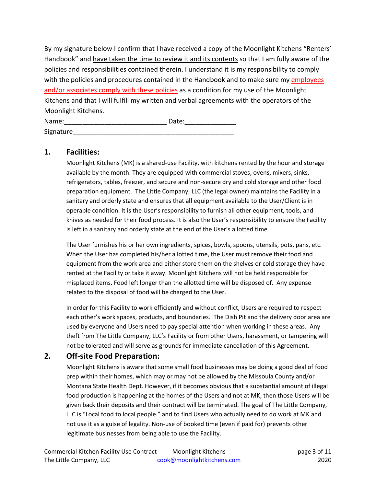By my signature below I confirm that I have received a copy of the Moonlight Kitchens "Renters' Handbook" and have taken the time to review it and its contents so that I am fully aware of the policies and responsibilities contained therein. I understand it is my responsibility to comply with the policies and procedures contained in the Handbook and to make sure my employees and/or associates comply with these policies as a condition for my use of the Moonlight Kitchens and that I will fulfill my written and verbal agreements with the operators of the Moonlight Kitchens.

| Name:     | Date: |  |
|-----------|-------|--|
| Signature |       |  |

## **1. Facilities:**

Moonlight Kitchens (MK) is a shared-use Facility, with kitchens rented by the hour and storage available by the month. They are equipped with commercial stoves, ovens, mixers, sinks, refrigerators, tables, freezer, and secure and non-secure dry and cold storage and other food preparation equipment. The Little Company, LLC (the legal owner) maintains the Facility in a sanitary and orderly state and ensures that all equipment available to the User/Client is in operable condition. It is the User's responsibility to furnish all other equipment, tools, and knives as needed for their food process. It is also the User's responsibility to ensure the Facility is left in a sanitary and orderly state at the end of the User's allotted time.

The User furnishes his or her own ingredients, spices, bowls, spoons, utensils, pots, pans, etc. When the User has completed his/her allotted time, the User must remove their food and equipment from the work area and either store them on the shelves or cold storage they have rented at the Facility or take it away. Moonlight Kitchens will not be held responsible for misplaced items. Food left longer than the allotted time will be disposed of. Any expense related to the disposal of food will be charged to the User.

In order for this Facility to work efficiently and without conflict, Users are required to respect each other's work spaces, products, and boundaries. The Dish Pit and the delivery door area are used by everyone and Users need to pay special attention when working in these areas. Any theft from The Little Company, LLC's Facility or from other Users, harassment, or tampering will not be tolerated and will serve as grounds for immediate cancellation of this Agreement.

## **2. Off-site Food Preparation:**

Moonlight Kitchens is aware that some small food businesses may be doing a good deal of food prep within their homes, which may or may not be allowed by the Missoula County and/or Montana State Health Dept. However, if it becomes obvious that a substantial amount of illegal food production is happening at the homes of the Users and not at MK, then those Users will be given back their deposits and their contract will be terminated. The goal of The Little Company, LLC is "Local food to local people." and to find Users who actually need to do work at MK and not use it as a guise of legality. Non-use of booked time (even if paid for) prevents other legitimate businesses from being able to use the Facility.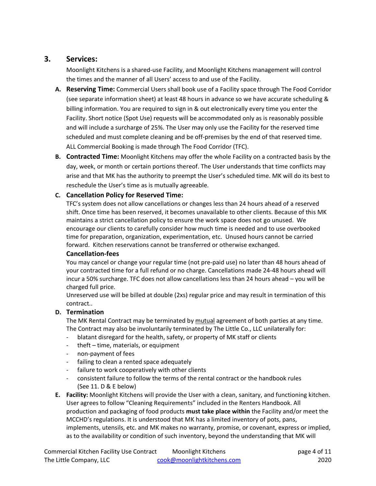## **3. Services:**

Moonlight Kitchens is a shared-use Facility, and Moonlight Kitchens management will control the times and the manner of all Users' access to and use of the Facility.

- **A. Reserving Time:** Commercial Users shall book use of a Facility space through The Food Corridor (see separate information sheet) at least 48 hours in advance so we have accurate scheduling & billing information. You are required to sign in & out electronically every time you enter the Facility. Short notice (Spot Use) requests will be accommodated only as is reasonably possible and will include a surcharge of 25%. The User may only use the Facility for the reserved time scheduled and must complete cleaning and be off-premises by the end of that reserved time. ALL Commercial Booking is made through The Food Corridor (TFC).
- **B. Contracted Time:** Moonlight Kitchens may offer the whole Facility on a contracted basis by the day, week, or month or certain portions thereof. The User understands that time conflicts may arise and that MK has the authority to preempt the User's scheduled time. MK will do its best to reschedule the User's time as is mutually agreeable.

#### **C. Cancellation Policy for Reserved Time:**

TFC's system does not allow cancellations or changes less than 24 hours ahead of a reserved shift. Once time has been reserved, it becomes unavailable to other clients. Because of this MK maintains a strict cancellation policy to ensure the work space does not go unused. We encourage our clients to carefully consider how much time is needed and to use overbooked time for preparation, organization, experimentation, etc. Unused hours cannot be carried forward. Kitchen reservations cannot be transferred or otherwise exchanged.

#### **Cancellation-fees**

You may cancel or change your regular time (not pre-paid use) no later than 48 hours ahead of your contracted time for a full refund or no charge. Cancellations made 24-48 hours ahead will incur a 50% surcharge. TFC does not allow cancellations less than 24 hours ahead – you will be charged full price.

Unreserved use will be billed at double (2xs) regular price and may result in termination of this contract..

#### **D. Termination**

The MK Rental Contract may be terminated by mutual agreement of both parties at any time. The Contract may also be involuntarily terminated by The Little Co., LLC unilaterally for:

- blatant disregard for the health, safety, or property of MK staff or clients
- theft time, materials, or equipment
- non-payment of fees
- failing to clean a rented space adequately
- failure to work cooperatively with other clients
- consistent failure to follow the terms of the rental contract or the handbook rules (See 11. D & E below)
- **E. Facility:** Moonlight Kitchens will provide the User with a clean, sanitary, and functioning kitchen. User agrees to follow "Cleaning Requirements" included in the Renters Handbook. All production and packaging of food products **must take place within** the Facility and/or meet the MCCHD's regulations. It is understood that MK has a limited inventory of pots, pans, implements, utensils, etc. and MK makes no warranty, promise, or covenant, express or implied, as to the availability or condition of such inventory, beyond the understanding that MK will

| Commercial Kitchen Facility Use Contract | <b>Moonlight Kitchens</b>  | page 4 of 11 |
|------------------------------------------|----------------------------|--------------|
| The Little Company, LLC                  | cook@moonlightkitchens.com | 2020         |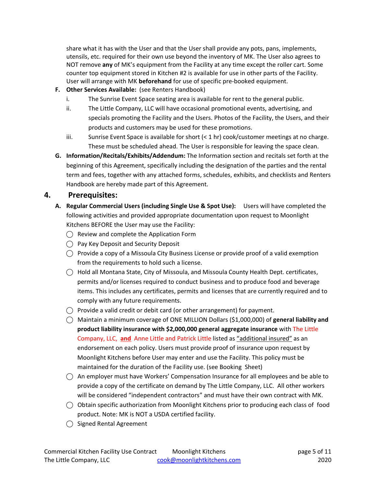share what it has with the User and that the User shall provide any pots, pans, implements, utensils, etc. required for their own use beyond the inventory of MK. The User also agrees to NOT remove **any** of MK's equipment from the Facility at any time except the roller cart. Some counter top equipment stored in Kitchen #2 is available for use in other parts of the Facility. User will arrange with MK **beforehand** for use of specific pre-booked equipment.

- **F. Other Services Available:** (see Renters Handbook)
	- i. The Sunrise Event Space seating area is available for rent to the general public.
	- ii. The Little Company, LLC will have occasional promotional events, advertising, and specials promoting the Facility and the Users. Photos of the Facility, the Users, and their products and customers may be used for these promotions.
	- iii. Sunrise Event Space is available for short  $( $1$  hr) cook/customer meetings at no charge.$ These must be scheduled ahead. The User is responsible for leaving the space clean.
- **G. Information/Recitals/Exhibits/Addendum:** The Information section and recitals set forth at the beginning of this Agreement, specifically including the designation of the parties and the rental term and fees, together with any attached forms, schedules, exhibits, and checklists and Renters Handbook are hereby made part of this Agreement.

## **4. Prerequisites:**

- **A. Regular Commercial Users (including Single Use & Spot Use):** Users will have completed the following activities and provided appropriate documentation upon request to Moonlight Kitchens BEFORE the User may use the Facility:
	- ◯ **Review and complete the Application Form**
	- ⃝ Pay Key Deposit and Security Deposit
	- $\bigcirc$  Provide a copy of a Missoula City Business License or provide proof of a valid exemption from the requirements to hold such a license.
	- ⃝ Hold all Montana State, City of Missoula, and Missoula County Health Dept. certificates, permits and/or licenses required to conduct business and to produce food and beverage items. This includes any certificates, permits and licenses that are currently required and to comply with any future requirements.
	- $\bigcirc$  Provide a valid credit or debit card (or other arrangement) for payment.
	- ⃝ Maintain a minimum coverage of ONE MILLION Dollars (\$1,000,000) of **general liability and product liability insurance with \$2,000,000 general aggregate insurance** with The Little Company, LLC, **and** Anne Little and Patrick Little listed as "additional insured" as an endorsement on each policy. Users must provide proof of insurance upon request by Moonlight Kitchens before User may enter and use the Facility. This policy must be maintained for the duration of the Facility use. (see Booking Sheet)
	- $\bigcirc$  An employer must have Workers' Compensation Insurance for all employees and be able to provide a copy of the certificate on demand by The Little Company, LLC. All other workers will be considered "independent contractors" and must have their own contract with MK.
	- $\bigcirc$  Obtain specific authorization from Moonlight Kitchens prior to producing each class of food product. Note: MK is NOT a USDA certified facility.
	- ⃝ Signed Rental Agreement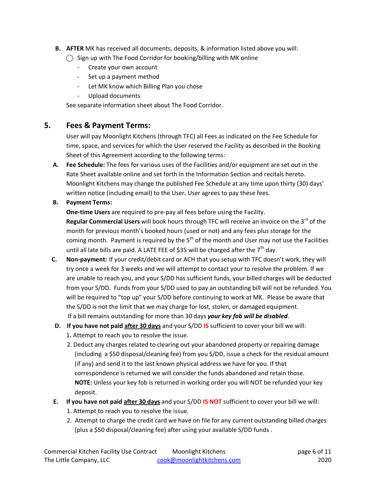- **B. AFTER** MK has received all documents, deposits, & information listed above you will:
	- $\bigcirc$  Sign up with The Food Corridor for booking/billing with MK online
		- Create your own account
		- Set up a payment method
		- Let MK know which Billing Plan you chose
		- Upload documents

See separate information sheet about The Food Corridor.

## **5. Fees & Payment Terms:**

User will pay Moonlight Kitchens (through TFC) all Fees as indicated on the Fee Schedule for time, space, and services for which the User reserved the Facility as described in the Booking Sheet of this Agreement according to the following terms:

**A. Fee Schedule:** The fees for various uses of the Facilities and/or equipment are set out in the Rate Sheet available online and set forth in the Information Section and recitals hereto. Moonlight Kitchens may change the published Fee Schedule at any time upon thirty (30) days' written notice (including email) to the User. User agrees to pay these fees.

#### **B. Payment Terms:**

**One-time Users** are required to pre-pay all fees before using the Facility. Regular Commercial Users will book hours through TFC will receive an invoice on the 3<sup>rd</sup> of the

month for previous month's booked hours (used or not) and any fees plus storage for the coming month. Payment is required by the  $5<sup>th</sup>$  of the month and User may not use the Facilities until all late bills are paid. A LATE FEE of \$35 will be charged after the  $7<sup>th</sup>$  day.

- **C. Non-payment:** If your credit/debit card or ACH that you setup with TFC doesn't work, they will try once a week for 3 weeks and we will attempt to contact your to resolve the problem. If we are unable to reach you, and your S/DD has sufficient funds, your billed charges will be deducted from your S/DD. Funds from your S/DD used to pay an outstanding bill will not be refunded. You will be required to "top up" your S/DD before continuing to work at MK. Please be aware that the S/DD is not the limit that we may charge for lost, stolen, or damaged equipment. If a bill remains outstanding for more than 30 days *your key fob will be disabled*.
- **D. If you have not paid after 30 days** and your S/DD **IS** sufficient to cover your bill we will:
	- 1**.** Attempt to reach you to resolve the issue.
	- 2. Deduct any charges related to clearing out your abandoned property or repairing damage (including a \$50 disposal/cleaning fee) from you S/DD, issue a check for the residual amount (if any) and send it to the last known physical address we have for you. If that correspondence is returned we will consider the funds abandoned and retain those. **NOTE:** Unless your key fob is returned in working order you will NOT be refunded your key deposit.
- **E. If you have not paid after 30 days** and your S/DD **IS NOT** sufficient to cover your bill we will:
	- 1. Attempt to reach you to resolve the issue.
	- 2. Attempt to charge the credit card we have on file for any current outstanding billed charges (plus a \$50 disposal/cleaning fee) after using your available S/DD funds .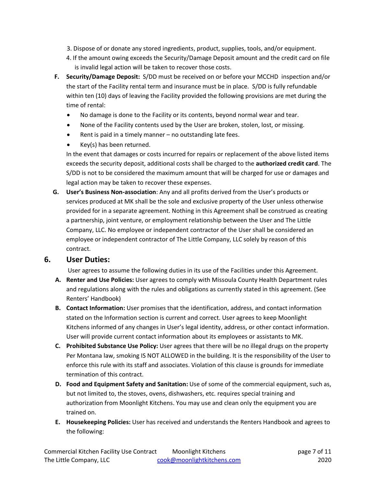- 3. Dispose of or donate any stored ingredients, product, supplies, tools, and/or equipment.
- 4. If the amount owing exceeds the Security/Damage Deposit amount and the credit card on file is invalid legal action will be taken to recover those costs.
- **F. Security/Damage Deposit:** S/DD must be received on or before your MCCHD inspection and/or the start of the Facility rental term and insurance must be in place. S/DD is fully refundable within ten (10) days of leaving the Facility provided the following provisions are met during the time of rental:
	- No damage is done to the Facility or its contents, beyond normal wear and tear.
	- None of the Facility contents used by the User are broken, stolen, lost, or missing.
	- Rent is paid in a timely manner no outstanding late fees.
	- Key(s) has been returned.

In the event that damages or costs incurred for repairs or replacement of the above listed items exceeds the security deposit, additional costs shall be charged to the **authorized credit card**. The S/DD is not to be considered the maximum amount that will be charged for use or damages and legal action may be taken to recover these expenses.

**G. User's Business Non-association**: Any and all profits derived from the User's products or services produced at MK shall be the sole and exclusive property of the User unless otherwise provided for in a separate agreement. Nothing in this Agreement shall be construed as creating a partnership, joint venture, or employment relationship between the User and The Little Company, LLC. No employee or independent contractor of the User shall be considered an employee or independent contractor of The Little Company, LLC solely by reason of this contract.

## **6. User Duties:**

User agrees to assume the following duties in its use of the Facilities under this Agreement.

- **A. Renter and Use Policies:** User agrees to comply with Missoula County Health Department rules and regulations along with the rules and obligations as currently stated in this agreement. (See Renters' Handbook)
- **B. Contact Information:** User promises that the identification, address, and contact information stated on the Information section is current and correct. User agrees to keep Moonlight Kitchens informed of any changes in User's legal identity, address, or other contact information. User will provide current contact information about its employees or assistants to MK.
- **C. Prohibited Substance Use Policy:** User agrees that there will be no illegal drugs on the property Per Montana law, smoking IS NOT ALLOWED in the building. It is the responsibility of the User to enforce this rule with its staff and associates. Violation of this clause is grounds for immediate termination of this contract.
- **D. Food and Equipment Safety and Sanitation:** Use of some of the commercial equipment, such as, but not limited to, the stoves, ovens, dishwashers, etc. requires special training and authorization from Moonlight Kitchens. You may use and clean only the equipment you are trained on.
- **E. Housekeeping Policies:** User has received and understands the Renters Handbook and agrees to the following: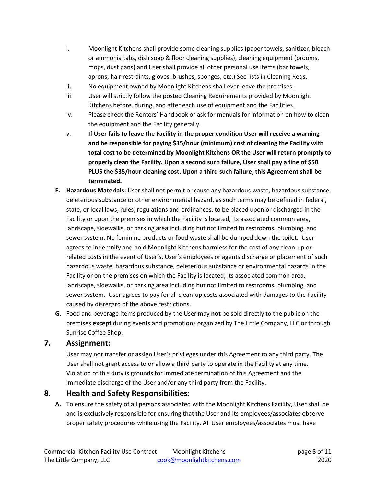- i. Moonlight Kitchens shall provide some cleaning supplies (paper towels, sanitizer, bleach or ammonia tabs, dish soap & floor cleaning supplies), cleaning equipment (brooms, mops, dust pans) and User shall provide all other personal use items (bar towels, aprons, hair restraints, gloves, brushes, sponges, etc.) See lists in Cleaning Reqs.
- ii. No equipment owned by Moonlight Kitchens shall ever leave the premises.
- iii. User will strictly follow the posted Cleaning Requirements provided by Moonlight Kitchens before, during, and after each use of equipment and the Facilities.
- iv. Please check the Renters' Handbook or ask for manuals for information on how to clean the equipment and the Facility generally.
- v. **If User fails to leave the Facility in the proper condition User will receive a warning and be responsible for paying \$35/hour (minimum) cost of cleaning the Facility with total cost to be determined by Moonlight Kitchens OR the User will return promptly to properly clean the Facility. Upon a second such failure, User shall pay a fine of \$50 PLUS the \$35/hour cleaning cost. Upon a third such failure, this Agreement shall be terminated.**
- **F. Hazardous Materials:** User shall not permit or cause any hazardous waste, hazardous substance, deleterious substance or other environmental hazard, as such terms may be defined in federal, state, or local laws, rules, regulations and ordinances, to be placed upon or discharged in the Facility or upon the premises in which the Facility is located, its associated common area, landscape, sidewalks, or parking area including but not limited to restrooms, plumbing, and sewer system. No feminine products or food waste shall be dumped down the toilet. User agrees to indemnify and hold Moonlight Kitchens harmless for the cost of any clean-up or related costs in the event of User's, User's employees or agents discharge or placement of such hazardous waste, hazardous substance, deleterious substance or environmental hazards in the Facility or on the premises on which the Facility is located, its associated common area, landscape, sidewalks, or parking area including but not limited to restrooms, plumbing, and sewer system. User agrees to pay for all clean-up costs associated with damages to the Facility caused by disregard of the above restrictions.
- **G.** Food and beverage items produced by the User may **not** be sold directly to the public on the premises **except** during events and promotions organized by The Little Company, LLC or through Sunrise Coffee Shop.

#### **7. Assignment:**

User may not transfer or assign User's privileges under this Agreement to any third party. The User shall not grant access to or allow a third party to operate in the Facility at any time. Violation of this duty is grounds for immediate termination of this Agreement and the immediate discharge of the User and/or any third party from the Facility.

## **8. Health and Safety Responsibilities:**

**A.** To ensure the safety of all persons associated with the Moonlight Kitchens Facility, User shall be and is exclusively responsible for ensuring that the User and its employees/associates observe proper safety procedures while using the Facility. All User employees/associates must have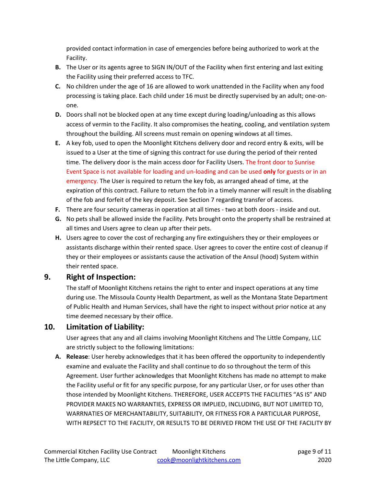provided contact information in case of emergencies before being authorized to work at the Facility.

- **B.** The User or its agents agree to SIGN IN/OUT of the Facility when first entering and last exiting the Facility using their preferred access to TFC.
- **C.** No children under the age of 16 are allowed to work unattended in the Facility when any food processing is taking place. Each child under 16 must be directly supervised by an adult; one-onone.
- **D.** Doors shall not be blocked open at any time except during loading/unloading as this allows access of vermin to the Facility. It also compromises the heating, cooling, and ventilation system throughout the building. All screens must remain on opening windows at all times.
- **E.** A key fob, used to open the Moonlight Kitchens delivery door and record entry & exits, will be issued to a User at the time of signing this contract for use during the period of their rented time. The delivery door is the main access door for Facility Users. The front door to Sunrise Event Space is not available for loading and un-loading and can be used **only** for guests or in an emergency. The User is required to return the key fob, as arranged ahead of time, at the expiration of this contract. Failure to return the fob in a timely manner will result in the disabling of the fob and forfeit of the key deposit. See Section 7 regarding transfer of access.
- **F.** There are four security cameras in operation at all times two at both doors inside and out.
- **G.** No pets shall be allowed inside the Facility. Pets brought onto the property shall be restrained at all times and Users agree to clean up after their pets.
- **H.** Users agree to cover the cost of recharging any fire extinguishers they or their employees or assistants discharge within their rented space. User agrees to cover the entire cost of cleanup if they or their employees or assistants cause the activation of the Ansul (hood) System within their rented space.

## **9. Right of Inspection:**

The staff of Moonlight Kitchens retains the right to enter and inspect operations at any time during use. The Missoula County Health Department, as well as the Montana State Department of Public Health and Human Services, shall have the right to inspect without prior notice at any time deemed necessary by their office.

## **10. Limitation of Liability:**

User agrees that any and all claims involving Moonlight Kitchens and The Little Company, LLC are strictly subject to the following limitations:

**A. Release**: User hereby acknowledges that it has been offered the opportunity to independently examine and evaluate the Facility and shall continue to do so throughout the term of this Agreement. User further acknowledges that Moonlight Kitchens has made no attempt to make the Facility useful or fit for any specific purpose, for any particular User, or for uses other than those intended by Moonlight Kitchens. THEREFORE, USER ACCEPTS THE FACILITIES "AS IS" AND PROVIDER MAKES NO WARRANTIES, EXPRESS OR IMPLIED, INCLUDING, BUT NOT LIMITED TO, WARRNATIES OF MERCHANTABILITY, SUITABILITY, OR FITNESS FOR A PARTICULAR PURPOSE, WITH REPSECT TO THE FACILITY, OR RESULTS TO BE DERIVED FROM THE USE OF THE FACILITY BY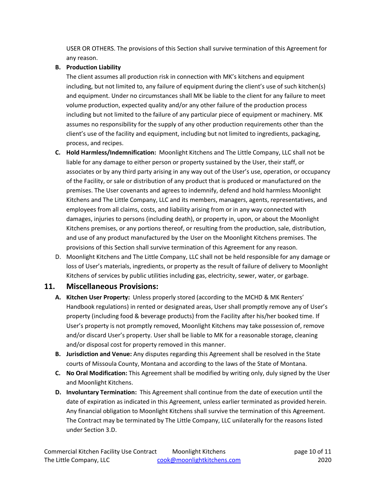USER OR OTHERS. The provisions of this Section shall survive termination of this Agreement for any reason.

#### **B. Production Liability**

The client assumes all production risk in connection with MK's kitchens and equipment including, but not limited to, any failure of equipment during the client's use of such kitchen(s) and equipment. Under no circumstances shall MK be liable to the client for any failure to meet volume production, expected quality and/or any other failure of the production process including but not limited to the failure of any particular piece of equipment or machinery. MK assumes no responsibility for the supply of any other production requirements other than the client's use of the facility and equipment, including but not limited to ingredients, packaging, process, and recipes.

- **C. Hold Harmless/Indemnification:** Moonlight Kitchens and The Little Company, LLC shall not be liable for any damage to either person or property sustained by the User, their staff, or associates or by any third party arising in any way out of the User's use, operation, or occupancy of the Facility, or sale or distribution of any product that is produced or manufactured on the premises. The User covenants and agrees to indemnify, defend and hold harmless Moonlight Kitchens and The Little Company, LLC and its members, managers, agents, representatives, and employees from all claims, costs, and liability arising from or in any way connected with damages, injuries to persons (including death), or property in, upon, or about the Moonlight Kitchens premises, or any portions thereof, or resulting from the production, sale, distribution, and use of any product manufactured by the User on the Moonlight Kitchens premises. The provisions of this Section shall survive termination of this Agreement for any reason.
- D. Moonlight Kitchens and The Little Company, LLC shall not be held responsible for any damage or loss of User's materials, ingredients, or property as the result of failure of delivery to Moonlight Kitchens of services by public utilities including gas, electricity, sewer, water, or garbage.

## **11. Miscellaneous Provisions:**

- **A. Kitchen User Property:** Unless properly stored (according to the MCHD & MK Renters' Handbook regulations) in rented or designated areas, User shall promptly remove any of User's property (including food & beverage products) from the Facility after his/her booked time. If User's property is not promptly removed, Moonlight Kitchens may take possession of, remove and/or discard User's property. User shall be liable to MK for a reasonable storage, cleaning and/or disposal cost for property removed in this manner.
- **B. Jurisdiction and Venue:** Any disputes regarding this Agreement shall be resolved in the State courts of Missoula County, Montana and according to the laws of the State of Montana.
- **C. No Oral Modification:** This Agreement shall be modified by writing only, duly signed by the User and Moonlight Kitchens.
- **D. Involuntary Termination:** This Agreement shall continue from the date of execution until the date of expiration as indicated in this Agreement, unless earlier terminated as provided herein. Any financial obligation to Moonlight Kitchens shall survive the termination of this Agreement. The Contract may be terminated by The Little Company, LLC unilaterally for the reasons listed under Section 3.D.